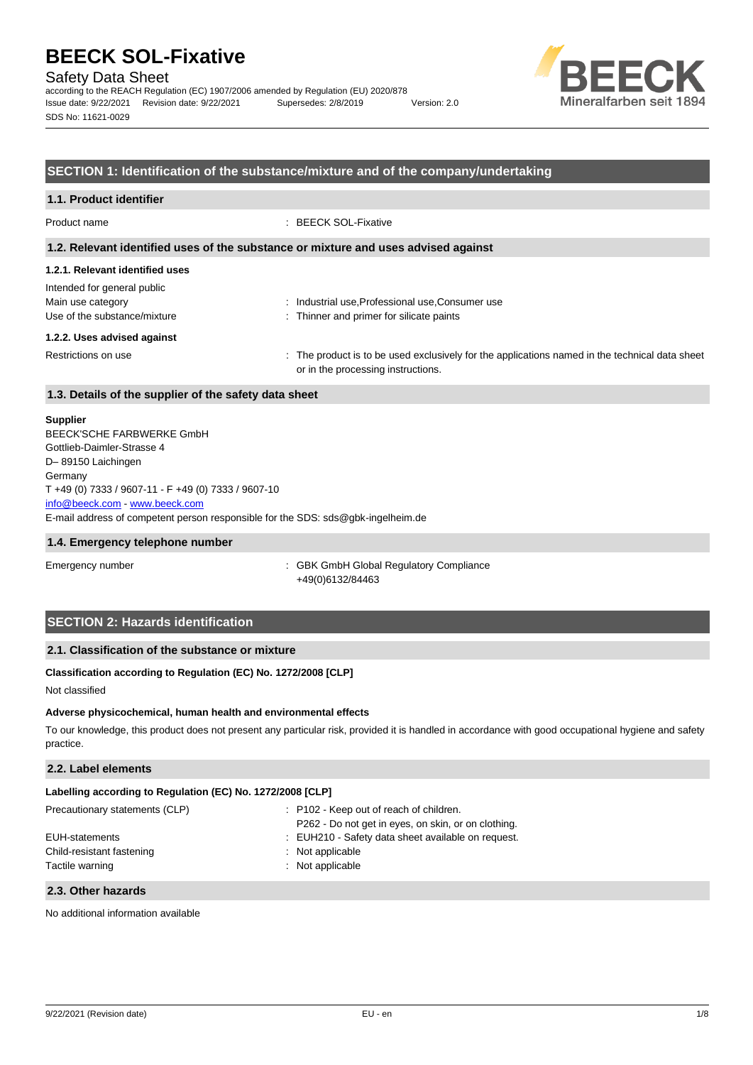Safety Data Sheet

according to the REACH Regulation (EC) 1907/2006 amended by Regulation (EU) 2020/878 Issue date: 9/22/2021 Revision date: 9/22/2021 Supersedes: 2/8/2019 Version: 2.0 SDS No: 11621-0029



#### **SECTION 1: Identification of the substance/mixture and of the company/undertaking**

# **1.1. Product identifier** Product name : BEECK SOL-Fixative

#### **1.2. Relevant identified uses of the substance or mixture and uses advised against**

#### **1.2.1. Relevant identified uses**

| Intended for general public  |                                                                                                |
|------------------------------|------------------------------------------------------------------------------------------------|
| Main use category            | : Industrial use, Professional use, Consumer use                                               |
| Use of the substance/mixture | : Thinner and primer for silicate paints                                                       |
| 1.2.2. Uses advised against  |                                                                                                |
| Restrictions on use          | : The product is to be used exclusively for the applications named in the technical data sheet |

or in the processing instructions.

# **1.3. Details of the supplier of the safety data sheet**

#### **Supplier**

E-mail address of competent person responsible for the SDS: sds@gbk-ingelheim.de BEECK'SCHE FARBWERKE GmbH Gottlieb-Daimler-Strasse 4 D– 89150 Laichingen **Germany** T +49 (0) 7333 / 9607-11 - F +49 (0) 7333 / 9607-10 [info@beeck.com](mailto:info@beeck.com) - [www.beeck.com](http://www.beeck.com/)

#### **1.4. Emergency telephone number**

Emergency number **Emergency** number **1996** COMERGING COMPLIANCE: GBK GmbH Global Regulatory Compliance +49(0)6132/84463

### **SECTION 2: Hazards identification**

#### **2.1. Classification of the substance or mixture**

#### **Classification according to Regulation (EC) No. 1272/2008 [CLP]**

Not classified

#### **Adverse physicochemical, human health and environmental effects**

To our knowledge, this product does not present any particular risk, provided it is handled in accordance with good occupational hygiene and safety practice.

#### **2.2. Label elements**

| Labelling according to Regulation (EC) No. 1272/2008 [CLP] |                                                     |  |  |
|------------------------------------------------------------|-----------------------------------------------------|--|--|
| Precautionary statements (CLP)                             | : P102 - Keep out of reach of children.             |  |  |
|                                                            | P262 - Do not get in eyes, on skin, or on clothing. |  |  |

| EUH-statements            | : EUH210 - Safety data sheet available on request. |
|---------------------------|----------------------------------------------------|
| Child-resistant fastening | $:$ Not applicable                                 |
| Tactile warning           | $:$ Not applicable                                 |
|                           |                                                    |

#### **2.3. Other hazards**

No additional information available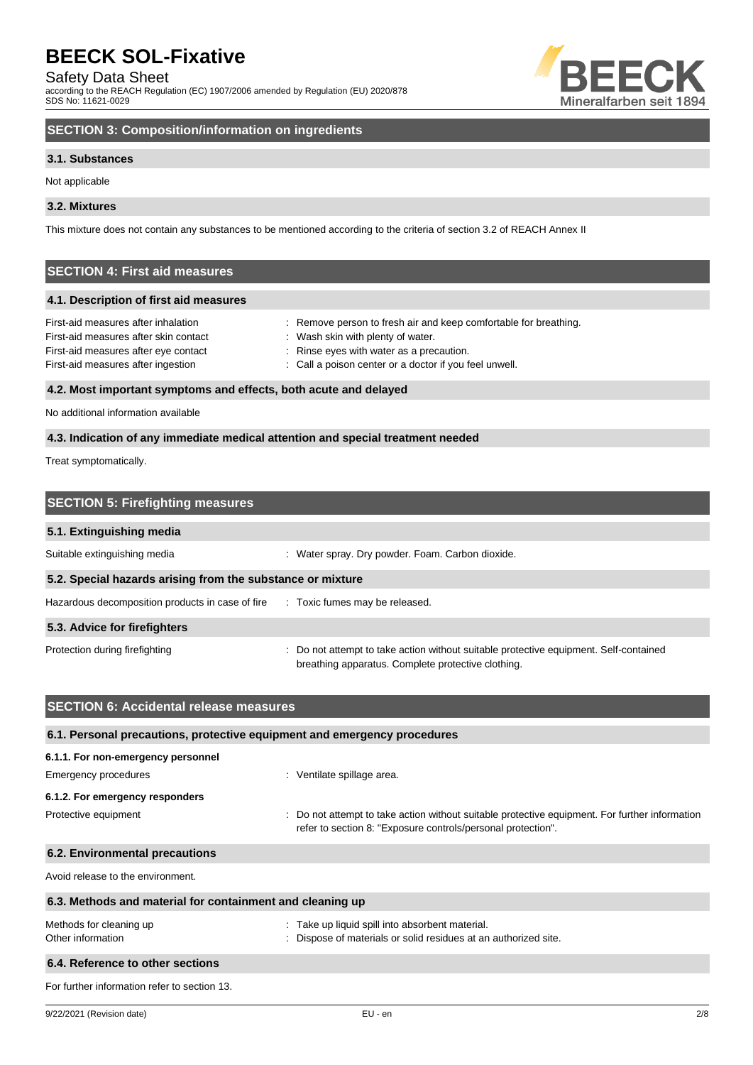Safety Data Sheet

according to the REACH Regulation (EC) 1907/2006 amended by Regulation (EU) 2020/878 SDS No: 11621-0029



# **SECTION 3: Composition/information on ingredients**

#### **3.1. Substances**

Not applicable

#### **3.2. Mixtures**

This mixture does not contain any substances to be mentioned according to the criteria of section 3.2 of REACH Annex II

# **SECTION 4: First aid measures**

#### **4.1. Description of first aid measures**

| First-aid measures after inhalation   | : Remove person to fresh air and keep comfortable for breathing. |
|---------------------------------------|------------------------------------------------------------------|
| First-aid measures after skin contact | : Wash skin with plenty of water.                                |
| First-aid measures after eye contact  | : Rinse eyes with water as a precaution.                         |
| First-aid measures after ingestion    | : Call a poison center or a doctor if you feel unwell.           |
|                                       |                                                                  |

## **4.2. Most important symptoms and effects, both acute and delayed**

No additional information available

#### **4.3. Indication of any immediate medical attention and special treatment needed**

Treat symptomatically.

| <b>SECTION 5: Firefighting measures</b>                    |                                                                                                                                             |  |
|------------------------------------------------------------|---------------------------------------------------------------------------------------------------------------------------------------------|--|
| 5.1. Extinguishing media                                   |                                                                                                                                             |  |
| Suitable extinguishing media                               | : Water spray. Dry powder. Foam. Carbon dioxide.                                                                                            |  |
| 5.2. Special hazards arising from the substance or mixture |                                                                                                                                             |  |
| Hazardous decomposition products in case of fire           | : Toxic fumes may be released.                                                                                                              |  |
| 5.3. Advice for firefighters                               |                                                                                                                                             |  |
| Protection during firefighting                             | : Do not attempt to take action without suitable protective equipment. Self-contained<br>breathing apparatus. Complete protective clothing. |  |

| <b>SECTION 6: Accidental release measures</b>                            |                                                                                                                                                                |  |  |
|--------------------------------------------------------------------------|----------------------------------------------------------------------------------------------------------------------------------------------------------------|--|--|
| 6.1. Personal precautions, protective equipment and emergency procedures |                                                                                                                                                                |  |  |
| 6.1.1. For non-emergency personnel                                       |                                                                                                                                                                |  |  |
| Emergency procedures                                                     | : Ventilate spillage area.                                                                                                                                     |  |  |
| 6.1.2. For emergency responders                                          |                                                                                                                                                                |  |  |
| Protective equipment                                                     | : Do not attempt to take action without suitable protective equipment. For further information<br>refer to section 8: "Exposure controls/personal protection". |  |  |
| 6.2. Environmental precautions                                           |                                                                                                                                                                |  |  |
| Avoid release to the environment.                                        |                                                                                                                                                                |  |  |
| 6.3. Methods and material for containment and cleaning up                |                                                                                                                                                                |  |  |
| Methods for cleaning up<br>Other information                             | : Take up liquid spill into absorbent material.<br>: Dispose of materials or solid residues at an authorized site.                                             |  |  |
| 6.4. Reference to other sections                                         |                                                                                                                                                                |  |  |
| For further information refer to section 13.                             |                                                                                                                                                                |  |  |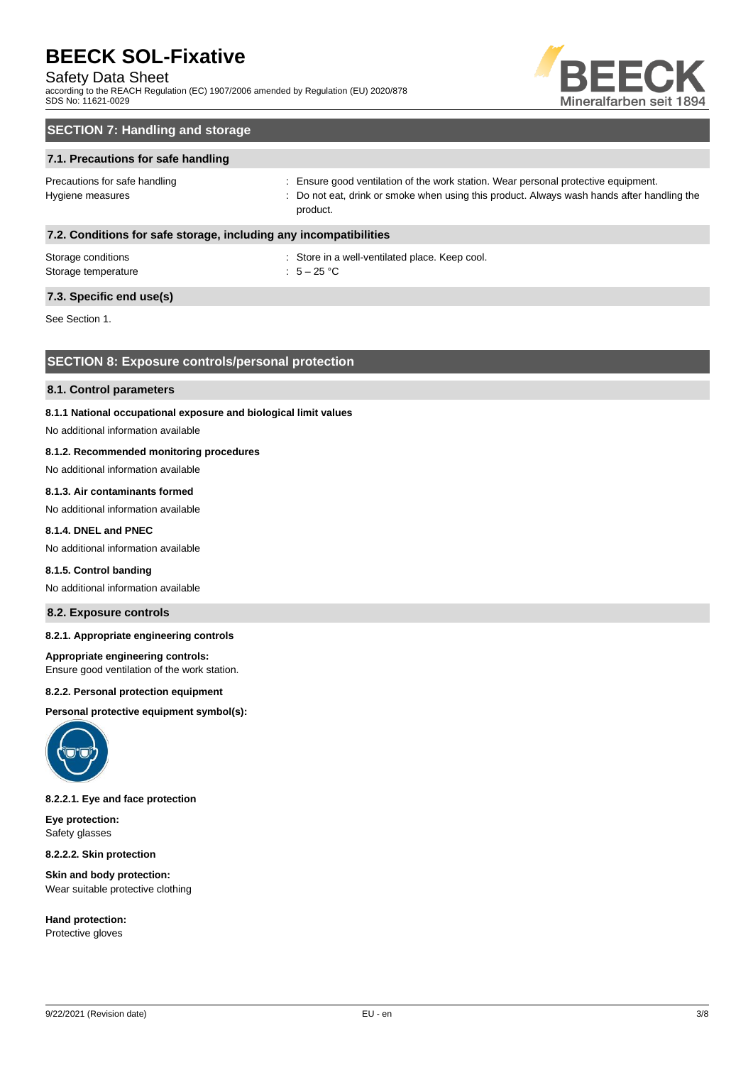#### Safety Data Sheet

according to the REACH Regulation (EC) 1907/2006 amended by Regulation (EU) 2020/878 SDS No: 11621-0029



# **SECTION 7: Handling and storage**

#### **7.1. Precautions for safe handling**

Precautions for safe handling state is ensure good ventilation of the work station. Wear personal protective equipment. Hygiene measures states of the state of the not eat, drink or smoke when using this product. Always wash hands after handling the product.

#### **7.2. Conditions for safe storage, including any incompatibilities**

| Storage conditions  | : Store in a |
|---------------------|--------------|
| Storage temperature | : $5-25$ °C  |

: Store in a well-ventilated place. Keep cool.

### **7.3. Specific end use(s)**

See Section 1.

#### **SECTION 8: Exposure controls/personal protection**

#### **8.1. Control parameters**

#### **8.1.1 National occupational exposure and biological limit values**

No additional information available

#### **8.1.2. Recommended monitoring procedures**

No additional information available

#### **8.1.3. Air contaminants formed**

No additional information available

#### **8.1.4. DNEL and PNEC**

No additional information available

#### **8.1.5. Control banding**

No additional information available

#### **8.2. Exposure controls**

#### **8.2.1. Appropriate engineering controls**

#### **Appropriate engineering controls:**

Ensure good ventilation of the work station.

#### **8.2.2. Personal protection equipment**

**Personal protective equipment symbol(s):**



#### **8.2.2.1. Eye and face protection**

**Eye protection:** Safety glasses

**8.2.2.2. Skin protection**

**Skin and body protection:** Wear suitable protective clothing

**Hand protection:** Protective gloves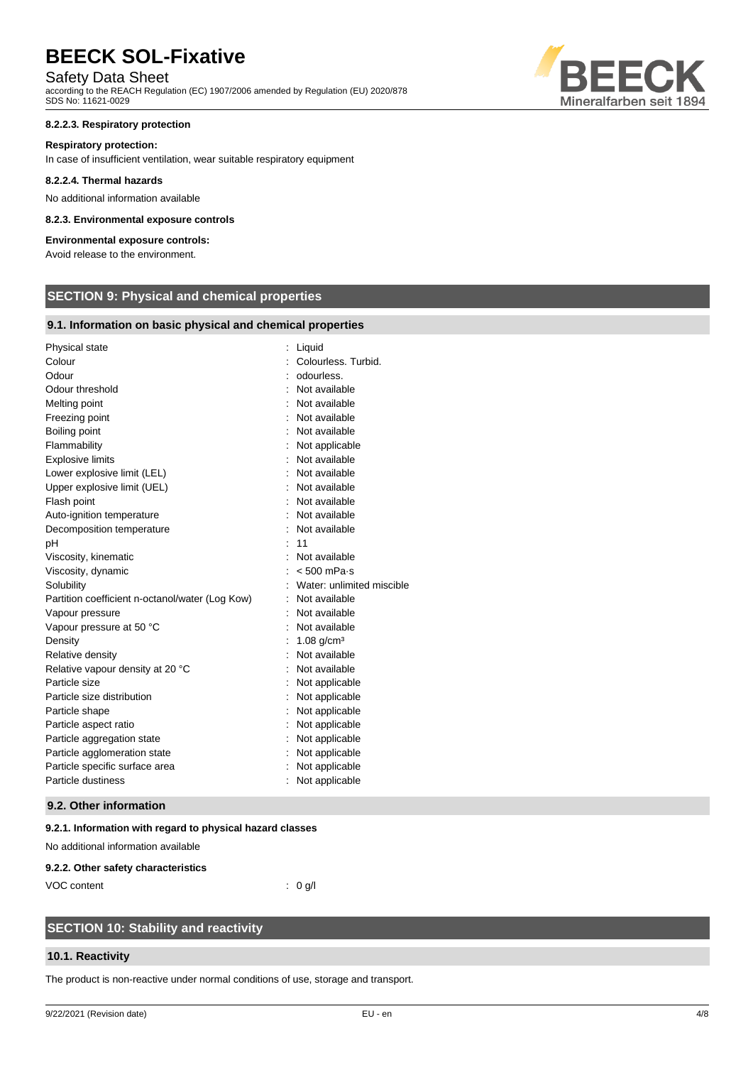# Safety Data Sheet

according to the REACH Regulation (EC) 1907/2006 amended by Regulation (EU) 2020/878 SDS No: 11621-0029

#### **8.2.2.3. Respiratory protection**

#### **Respiratory protection:**

In case of insufficient ventilation, wear suitable respiratory equipment

#### **8.2.2.4. Thermal hazards**

No additional information available

#### **8.2.3. Environmental exposure controls**

#### **Environmental exposure controls:**

Avoid release to the environment.

# **SECTION 9: Physical and chemical properties**

#### **9.1. Information on basic physical and chemical properties**

| Physical state                                  | Liquid                    |
|-------------------------------------------------|---------------------------|
| Colour                                          | Colourless. Turbid.       |
| Odour                                           | odourless.                |
| Odour threshold                                 | Not available             |
| Melting point                                   | Not available             |
| Freezing point                                  | Not available             |
| Boiling point                                   | Not available             |
| Flammability                                    | Not applicable            |
| <b>Explosive limits</b>                         | Not available             |
| Lower explosive limit (LEL)                     | Not available             |
| Upper explosive limit (UEL)                     | Not available             |
| Flash point                                     | Not available             |
| Auto-ignition temperature                       | Not available             |
| Decomposition temperature                       | Not available             |
| рH                                              | 11                        |
| Viscosity, kinematic                            | Not available             |
| Viscosity, dynamic                              | $< 500$ mPa $\cdot$ s     |
| Solubility                                      | Water: unlimited miscible |
| Partition coefficient n-octanol/water (Log Kow) | Not available             |
| Vapour pressure                                 | Not available             |
| Vapour pressure at 50 °C                        | Not available             |
| Density                                         | $1.08$ g/cm <sup>3</sup>  |
| Relative density                                | Not available             |
| Relative vapour density at 20 °C                | Not available             |
| Particle size                                   | Not applicable            |
| Particle size distribution                      | Not applicable            |
| Particle shape                                  | Not applicable            |
| Particle aspect ratio                           | Not applicable            |
| Particle aggregation state                      | Not applicable            |
| Particle agglomeration state                    | Not applicable            |
| Particle specific surface area                  | Not applicable            |
| Particle dustiness                              | Not applicable            |

#### **9.2. Other information**

#### **9.2.1. Information with regard to physical hazard classes**

No additional information available

#### **9.2.2. Other safety characteristics**

VOC content : 0 g/l

# **SECTION 10: Stability and reactivity**

#### **10.1. Reactivity**

The product is non-reactive under normal conditions of use, storage and transport.

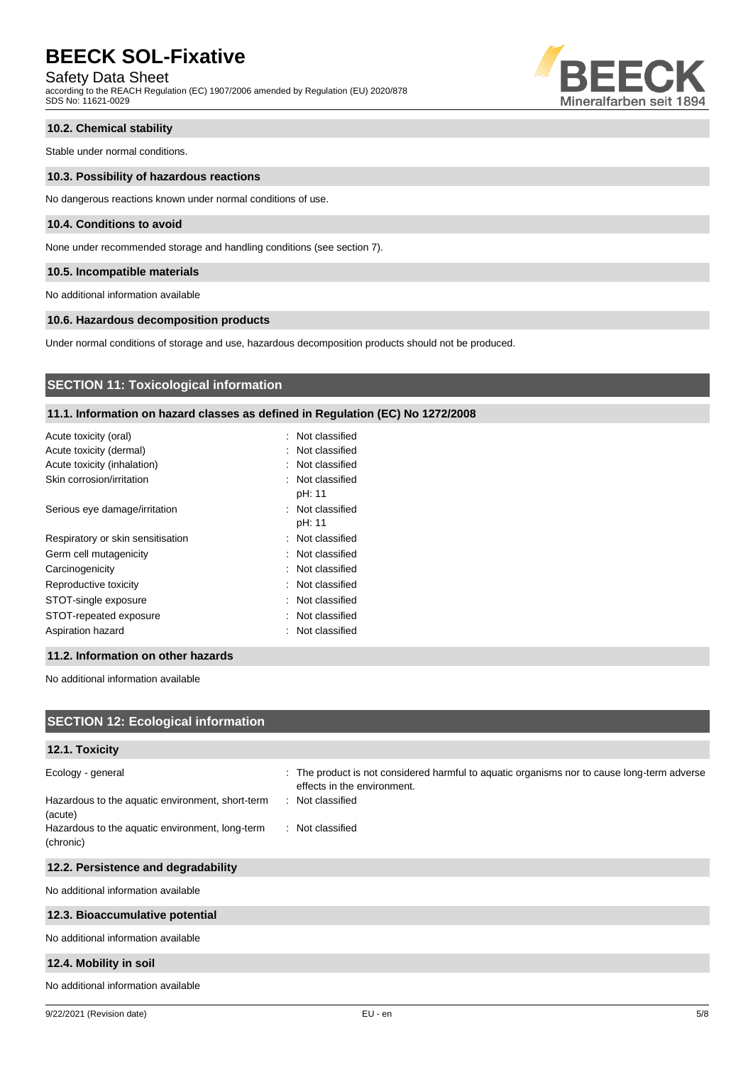Safety Data Sheet

according to the REACH Regulation (EC) 1907/2006 amended by Regulation (EU) 2020/878 SDS No: 11621-0029



#### **10.2. Chemical stability**

Stable under normal conditions.

#### **10.3. Possibility of hazardous reactions**

No dangerous reactions known under normal conditions of use.

#### **10.4. Conditions to avoid**

None under recommended storage and handling conditions (see section 7).

#### **10.5. Incompatible materials**

No additional information available

#### **10.6. Hazardous decomposition products**

Under normal conditions of storage and use, hazardous decomposition products should not be produced.

### **SECTION 11: Toxicological information**

#### **11.1. Information on hazard classes as defined in Regulation (EC) No 1272/2008**

| Acute toxicity (oral)             | : Not classified           |
|-----------------------------------|----------------------------|
| Acute toxicity (dermal)           | : Not classified           |
| Acute toxicity (inhalation)       | : Not classified           |
| Skin corrosion/irritation         | : Not classified<br>pH: 11 |
| Serious eye damage/irritation     | : Not classified<br>pH: 11 |
| Respiratory or skin sensitisation | : Not classified           |
| Germ cell mutagenicity            | : Not classified           |
| Carcinogenicity                   | : Not classified           |
| Reproductive toxicity             | : Not classified           |
| STOT-single exposure              | : Not classified           |
| STOT-repeated exposure            | : Not classified           |
| Aspiration hazard                 | : Not classified           |

#### **11.2. Information on other hazards**

No additional information available

| <b>SECTION 12: Ecological information</b>                                        |                                                                                                                                                |
|----------------------------------------------------------------------------------|------------------------------------------------------------------------------------------------------------------------------------------------|
| 12.1. Toxicity                                                                   |                                                                                                                                                |
| Ecology - general<br>Hazardous to the aquatic environment, short-term<br>(acute) | : The product is not considered harmful to aquatic organisms nor to cause long-term adverse<br>effects in the environment.<br>: Not classified |
| Hazardous to the aquatic environment, long-term<br>(chronic)                     | : Not classified                                                                                                                               |
| 12.2. Persistence and degradability                                              |                                                                                                                                                |
| No additional information available                                              |                                                                                                                                                |
| 12.3. Bioaccumulative potential                                                  |                                                                                                                                                |
| No additional information available                                              |                                                                                                                                                |
| 12.4. Mobility in soil                                                           |                                                                                                                                                |
| No additional information available                                              |                                                                                                                                                |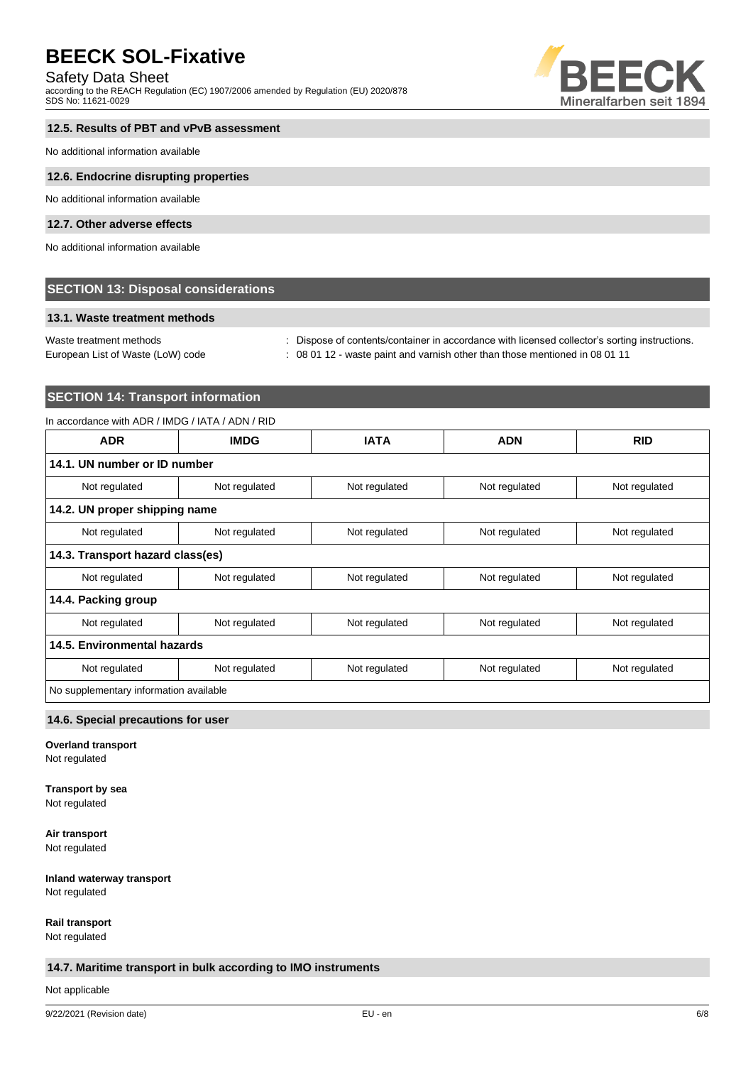### Safety Data Sheet

according to the REACH Regulation (EC) 1907/2006 amended by Regulation (EU) 2020/878 SDS No: 11621-0029



#### **12.5. Results of PBT and vPvB assessment**

No additional information available

#### **12.6. Endocrine disrupting properties**

No additional information available

#### **12.7. Other adverse effects**

No additional information available

#### **SECTION 13: Disposal considerations**

#### **13.1. Waste treatment methods**

European List of Waste (LoW) code : 08 01 12 - waste paint and varnish other than those mentioned in 08 01 11

Waste treatment methods : Dispose of contents/container in accordance with licensed collector's sorting instructions.

# **SECTION 14: Transport information**

#### In accordance with ADR / IMDG / IATA / ADN / RID

| <b>ADR</b>                             | <b>IMDG</b>   | <b>IATA</b>   | <b>ADN</b>    | <b>RID</b>    |
|----------------------------------------|---------------|---------------|---------------|---------------|
| 14.1. UN number or ID number           |               |               |               |               |
| Not regulated                          | Not regulated | Not regulated | Not regulated | Not regulated |
| 14.2. UN proper shipping name          |               |               |               |               |
| Not regulated                          | Not regulated | Not regulated | Not regulated | Not regulated |
| 14.3. Transport hazard class(es)       |               |               |               |               |
| Not regulated                          | Not regulated | Not regulated | Not regulated | Not regulated |
| 14.4. Packing group                    |               |               |               |               |
| Not regulated                          | Not regulated | Not regulated | Not regulated | Not regulated |
| 14.5. Environmental hazards            |               |               |               |               |
| Not regulated                          | Not regulated | Not regulated | Not regulated | Not regulated |
| No supplementary information available |               |               |               |               |

#### **14.6. Special precautions for user**

**Overland transport**

Not regulated

# **Transport by sea**

Not regulated

**Air transport** Not regulated

**Inland waterway transport**

Not regulated

**Rail transport**

Not regulated

### **14.7. Maritime transport in bulk according to IMO instruments**

Not applicable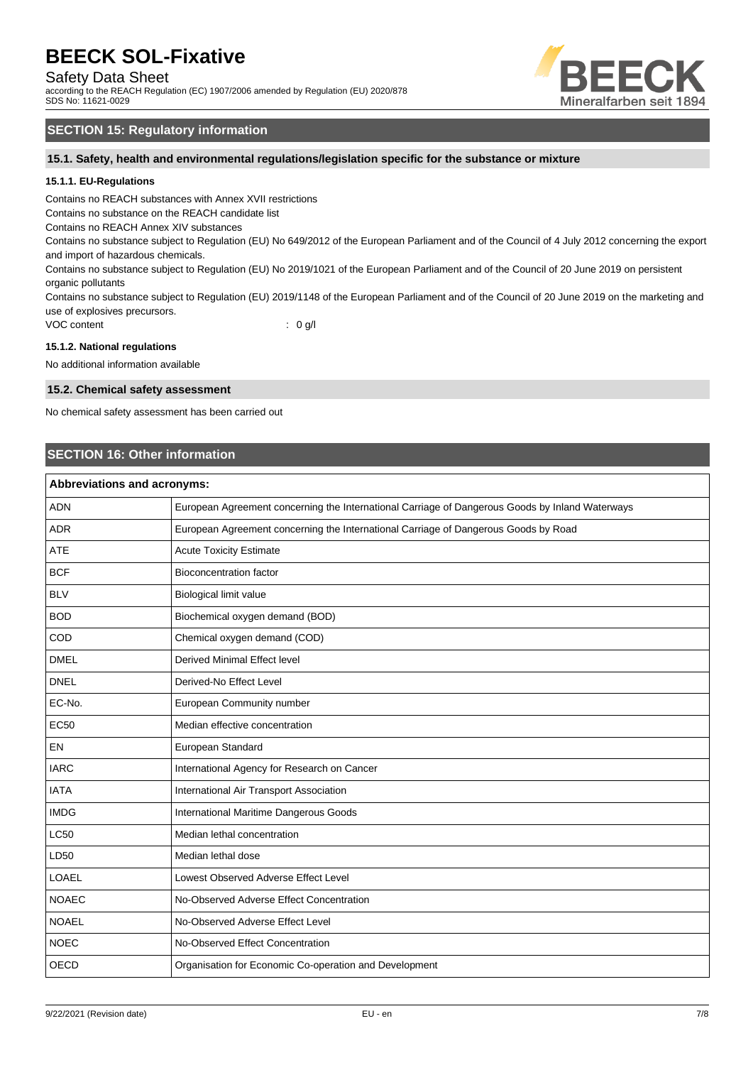Safety Data Sheet

according to the REACH Regulation (EC) 1907/2006 amended by Regulation (EU) 2020/878 SDS No: 11621-0029



### **SECTION 15: Regulatory information**

**15.1. Safety, health and environmental regulations/legislation specific for the substance or mixture**

#### **15.1.1. EU-Regulations**

Contains no REACH substances with Annex XVII restrictions

Contains no substance on the REACH candidate list

Contains no REACH Annex XIV substances

Contains no substance subject to Regulation (EU) No 649/2012 of the European Parliament and of the Council of 4 July 2012 concerning the export and import of hazardous chemicals.

Contains no substance subject to Regulation (EU) No 2019/1021 of the European Parliament and of the Council of 20 June 2019 on persistent organic pollutants

Contains no substance subject to Regulation (EU) 2019/1148 of the European Parliament and of the Council of 20 June 2019 on the marketing and use of explosives precursors.

VOC content : 0 g/l

#### **15.1.2. National regulations**

No additional information available

#### **15.2. Chemical safety assessment**

No chemical safety assessment has been carried out

### **SECTION 16: Other information**

| <b>Abbreviations and acronyms:</b> |                                                                                                 |  |
|------------------------------------|-------------------------------------------------------------------------------------------------|--|
| <b>ADN</b>                         | European Agreement concerning the International Carriage of Dangerous Goods by Inland Waterways |  |
| <b>ADR</b>                         | European Agreement concerning the International Carriage of Dangerous Goods by Road             |  |
| <b>ATE</b>                         | <b>Acute Toxicity Estimate</b>                                                                  |  |
| <b>BCF</b>                         | <b>Bioconcentration factor</b>                                                                  |  |
| <b>BLV</b>                         | Biological limit value                                                                          |  |
| <b>BOD</b>                         | Biochemical oxygen demand (BOD)                                                                 |  |
| COD                                | Chemical oxygen demand (COD)                                                                    |  |
| <b>DMEL</b>                        | Derived Minimal Effect level                                                                    |  |
| <b>DNEL</b>                        | Derived-No Effect Level                                                                         |  |
| EC-No.                             | European Community number                                                                       |  |
| <b>EC50</b>                        | Median effective concentration                                                                  |  |
| EN                                 | European Standard                                                                               |  |
| <b>IARC</b>                        | International Agency for Research on Cancer                                                     |  |
| <b>IATA</b>                        | International Air Transport Association                                                         |  |
| <b>IMDG</b>                        | International Maritime Dangerous Goods                                                          |  |
| <b>LC50</b>                        | Median lethal concentration                                                                     |  |
| LD50                               | Median lethal dose                                                                              |  |
| LOAEL                              | Lowest Observed Adverse Effect Level                                                            |  |
| <b>NOAEC</b>                       | No-Observed Adverse Effect Concentration                                                        |  |
| <b>NOAEL</b>                       | No-Observed Adverse Effect Level                                                                |  |
| <b>NOEC</b>                        | No-Observed Effect Concentration                                                                |  |
| <b>OECD</b>                        | Organisation for Economic Co-operation and Development                                          |  |